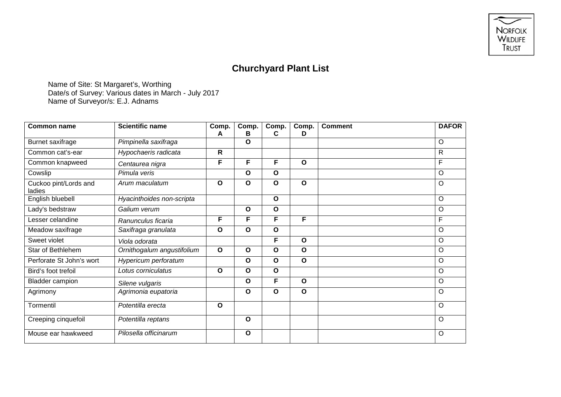

## **Churchyard Plant List**

Name of Site: St Margaret's, Worthing Date/s of Survey: Various dates in March - July 2017 Name of Surveyor/s: E.J. Adnams

| <b>Common name</b>              | <b>Scientific name</b>     | Comp.<br>A   | Comp.<br>В   | Comp.<br>C   | Comp.<br>D   | <b>Comment</b> | <b>DAFOR</b> |
|---------------------------------|----------------------------|--------------|--------------|--------------|--------------|----------------|--------------|
| Burnet saxifrage                | Pimpinella saxifraga       |              | O            |              |              |                | $\circ$      |
| Common cat's-ear                | Hypochaeris radicata       | $\mathsf{R}$ |              |              |              |                | $\mathsf{R}$ |
| Common knapweed                 | Centaurea nigra            | F            | F            | F            | O            |                | F            |
| Cowslip                         | Pimula veris               |              | $\mathbf{o}$ | $\mathbf 0$  |              |                | $\circ$      |
| Cuckoo pint/Lords and<br>ladies | Arum maculatum             | $\mathbf{o}$ | $\mathbf{o}$ | $\mathbf{o}$ | O            |                | $\circ$      |
| English bluebell                | Hyacinthoides non-scripta  |              |              | $\mathbf{o}$ |              |                | $\circ$      |
| Lady's bedstraw                 | Galium verum               |              | $\mathbf{o}$ | $\mathbf{o}$ |              |                | $\circ$      |
| Lesser celandine                | Ranunculus ficaria         | F            | F            | F            | F            |                | F            |
| Meadow saxifrage                | Saxifraga granulata        | $\mathbf{o}$ | $\mathbf{o}$ | $\mathbf{o}$ |              |                | $\circ$      |
| Sweet violet                    | Viola odorata              |              |              | F            | O            |                | $\circ$      |
| Star of Bethlehem               | Ornithogalum angustifolium | $\mathbf O$  | $\mathbf{o}$ | $\mathbf{o}$ | O            |                | $\circ$      |
| Perforate St John's wort        | Hypericum perforatum       |              | O            | $\mathbf{o}$ | O            |                | $\circ$      |
| Bird's foot trefoil             | Lotus corniculatus         | $\mathbf{o}$ | $\mathbf{o}$ | $\mathbf{o}$ |              |                | $\circ$      |
| <b>Bladder campion</b>          | Silene vulgaris            |              | $\mathbf{o}$ | F            | $\mathbf{o}$ |                | $\circ$      |
| Agrimony                        | Agrimonia eupatoria        |              | $\mathbf{o}$ | $\mathbf{o}$ | O            |                | $\circ$      |
| Tormentil                       | Potentilla erecta          | $\mathbf{o}$ |              |              |              |                | $\Omega$     |
| Creeping cinquefoil             | Potentilla reptans         |              | $\mathbf{o}$ |              |              |                | $\Omega$     |
| Mouse ear hawkweed              | Pilosella officinarum      |              | $\mathbf{o}$ |              |              |                | $\circ$      |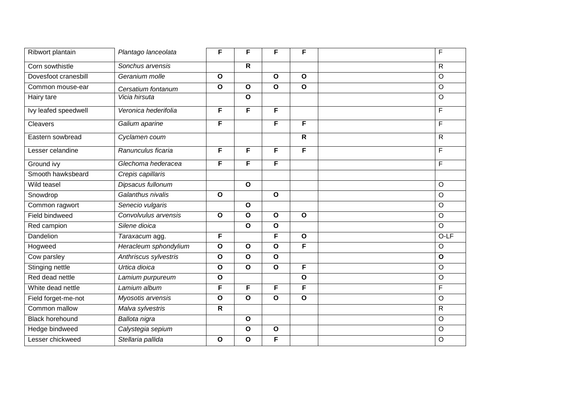| Ribwort plantain       | Plantago lanceolata   | F            | F              | F            | F                       | $\mathsf F$  |
|------------------------|-----------------------|--------------|----------------|--------------|-------------------------|--------------|
| Corn sowthistle        | Sonchus arvensis      |              | $\mathsf{R}$   |              |                         | $\mathsf{R}$ |
| Dovesfoot cranesbill   | Geranium molle        | $\mathbf{o}$ |                | $\mathbf{o}$ | $\mathbf{o}$            | $\circ$      |
| Common mouse-ear       | Cersatium fontanum    | $\mathbf{o}$ | $\mathbf{o}$   | $\mathbf{o}$ | $\mathbf{o}$            | $\circ$      |
| Hairy tare             | Vicia hirsuta         |              | $\mathbf{o}$   |              |                         | $\circ$      |
| Ivy leafed speedwell   | Veronica hederifolia  | F            | $\overline{F}$ | F            |                         | F            |
| Cleavers               | Galium aparine        | F            |                | F            | F                       | F            |
| Eastern sowbread       | Cyclamen coum         |              |                |              | $\mathsf{R}$            | $\mathsf{R}$ |
| Lesser celandine       | Ranunculus ficaria    | F            | F              | F            | F                       | F            |
| Ground ivy             | Glechoma hederacea    | F            | F              | F            |                         | $\mathsf F$  |
| Smooth hawksbeard      | Crepis capillaris     |              |                |              |                         |              |
| Wild teasel            | Dipsacus fullonum     |              | $\mathbf{o}$   |              |                         | $\circ$      |
| Snowdrop               | Galanthus nivalis     | $\mathbf{o}$ |                | $\mathbf{o}$ |                         | $\circ$      |
| Common ragwort         | Senecio vulgaris      |              | $\mathbf{o}$   |              |                         | $\circ$      |
| Field bindweed         | Convolvulus arvensis  | $\mathbf{o}$ | $\mathbf O$    | $\mathbf{o}$ | $\mathbf{o}$            | $\circ$      |
| Red campion            | Silene dioica         |              | $\mathbf{o}$   | $\mathbf{o}$ |                         | $\circ$      |
| Dandelion              | Taraxacum agg.        | F            |                | F            | $\mathbf{o}$            | $O-LF$       |
| Hogweed                | Heracleum sphondylium | $\mathbf{o}$ | $\mathbf{o}$   | $\mathbf{o}$ | F                       | $\circ$      |
| Cow parsley            | Anthriscus sylvestris | $\mathbf{o}$ | $\mathbf{o}$   | $\mathbf{o}$ |                         | $\mathbf{o}$ |
| <b>Stinging nettle</b> | Urtica dioica         | $\mathbf{o}$ | $\mathbf O$    | $\mathbf{o}$ | F                       | $\circ$      |
| Red dead nettle        | Lamium purpureum      | $\mathbf{o}$ |                |              | $\mathbf{o}$            | $\circ$      |
| White dead nettle      | Lamium album          | F            | F              | F            | F                       | $\mathsf F$  |
| Field forget-me-not    | Myosotis arvensis     | $\mathbf{o}$ | $\mathbf{o}$   | $\mathbf{o}$ | $\overline{\mathbf{o}}$ | $\circ$      |
| Common mallow          | Malva sylvestris      | $\mathsf{R}$ |                |              |                         | $\mathsf{R}$ |
| <b>Black horehound</b> | Ballota nigra         |              | $\mathbf{o}$   |              |                         | $\circ$      |
| Hedge bindweed         | Calystegia sepium     |              | $\mathbf{o}$   | $\mathbf{o}$ |                         | $\circ$      |
| Lesser chickweed       | Stellaria pallida     | O            | $\mathbf{o}$   | F            |                         | $\circ$      |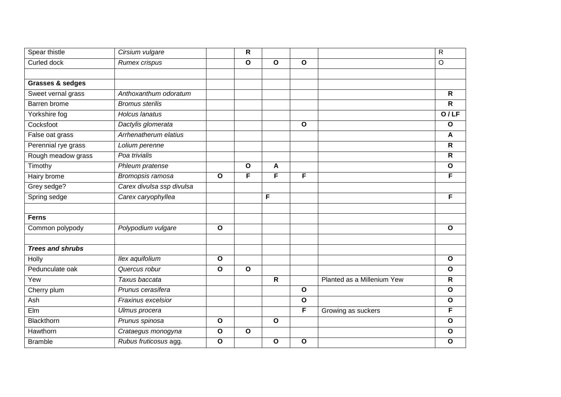| Spear thistle               | Cirsium vulgare           |              | R            |              |              |                            | $\mathsf{R}$            |
|-----------------------------|---------------------------|--------------|--------------|--------------|--------------|----------------------------|-------------------------|
| Curled dock                 | Rumex crispus             |              | $\mathbf{o}$ | $\mathbf{o}$ | $\mathbf{o}$ |                            | $\circ$                 |
|                             |                           |              |              |              |              |                            |                         |
| <b>Grasses &amp; sedges</b> |                           |              |              |              |              |                            |                         |
| Sweet vernal grass          | Anthoxanthum odoratum     |              |              |              |              |                            | $\mathsf{R}$            |
| Barren brome                | <b>Bromus sterilis</b>    |              |              |              |              |                            | $\mathsf{R}$            |
| Yorkshire fog               | <b>Holcus lanatus</b>     |              |              |              |              |                            | O/LF                    |
| Cocksfoot                   | Dactylis glomerata        |              |              |              | $\mathbf{o}$ |                            | $\mathbf{o}$            |
| False oat grass             | Arrhenatherum elatius     |              |              |              |              |                            | A                       |
| Perennial rye grass         | Lolium perenne            |              |              |              |              |                            | $\overline{\mathbf{R}}$ |
| Rough meadow grass          | Poa trivialis             |              |              |              |              |                            | R                       |
| Timothy                     | Phleum pratense           |              | $\mathbf{o}$ | A            |              |                            | $\mathbf{o}$            |
| Hairy brome                 | Bromopsis ramosa          | $\mathbf{o}$ | F            | F            | F            |                            | F                       |
| Grey sedge?                 | Carex divulsa ssp divulsa |              |              |              |              |                            |                         |
| Spring sedge                | Carex caryophyllea        |              |              | F            |              |                            | F                       |
|                             |                           |              |              |              |              |                            |                         |
| <b>Ferns</b>                |                           |              |              |              |              |                            |                         |
| Common polypody             | Polypodium vulgare        | $\mathbf{o}$ |              |              |              |                            | $\mathbf{o}$            |
|                             |                           |              |              |              |              |                            |                         |
| <b>Trees and shrubs</b>     |                           |              |              |              |              |                            |                         |
| Holly                       | Ilex aquifolium           | $\mathbf{o}$ |              |              |              |                            | $\mathbf{o}$            |
| Pedunculate oak             | Quercus robur             | O            | $\mathbf{o}$ |              |              |                            | $\mathbf{o}$            |
| Yew                         | Taxus baccata             |              |              | $\mathsf{R}$ |              | Planted as a Millenium Yew | R                       |
| Cherry plum                 | Prunus cerasifera         |              |              |              | $\mathbf{o}$ |                            | $\mathbf{o}$            |
| Ash                         | Fraxinus excelsior        |              |              |              | $\mathbf{o}$ |                            | $\mathbf{o}$            |
| Elm                         | Ulmus procera             |              |              |              | F            | Growing as suckers         | F                       |
| Blackthorn                  | Prunus spinosa            | $\mathbf{o}$ |              | $\mathbf{o}$ |              |                            | $\mathbf{o}$            |
| Hawthorn                    | Crataegus monogyna        | $\mathbf{o}$ | $\mathbf{o}$ |              |              |                            | $\mathbf{o}$            |
| <b>Bramble</b>              | Rubus fruticosus agg.     | $\mathbf{o}$ |              | $\mathbf{o}$ | $\mathbf{o}$ |                            | $\mathbf{o}$            |